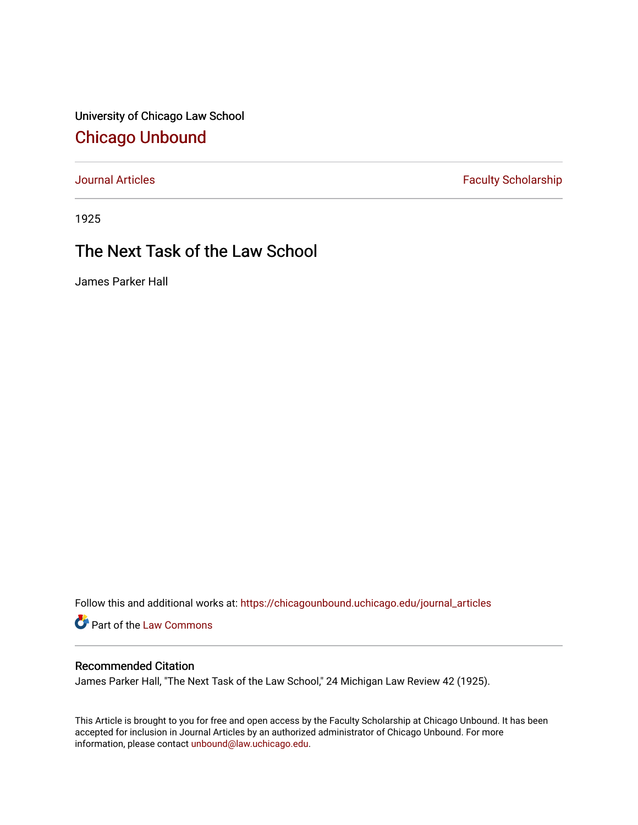University of Chicago Law School [Chicago Unbound](https://chicagounbound.uchicago.edu/)

[Journal Articles](https://chicagounbound.uchicago.edu/journal_articles) **Faculty Scholarship Faculty Scholarship** 

1925

## The Next Task of the Law School

James Parker Hall

Follow this and additional works at: [https://chicagounbound.uchicago.edu/journal\\_articles](https://chicagounbound.uchicago.edu/journal_articles?utm_source=chicagounbound.uchicago.edu%2Fjournal_articles%2F9507&utm_medium=PDF&utm_campaign=PDFCoverPages) 

Part of the [Law Commons](http://network.bepress.com/hgg/discipline/578?utm_source=chicagounbound.uchicago.edu%2Fjournal_articles%2F9507&utm_medium=PDF&utm_campaign=PDFCoverPages)

## Recommended Citation

James Parker Hall, "The Next Task of the Law School," 24 Michigan Law Review 42 (1925).

This Article is brought to you for free and open access by the Faculty Scholarship at Chicago Unbound. It has been accepted for inclusion in Journal Articles by an authorized administrator of Chicago Unbound. For more information, please contact [unbound@law.uchicago.edu](mailto:unbound@law.uchicago.edu).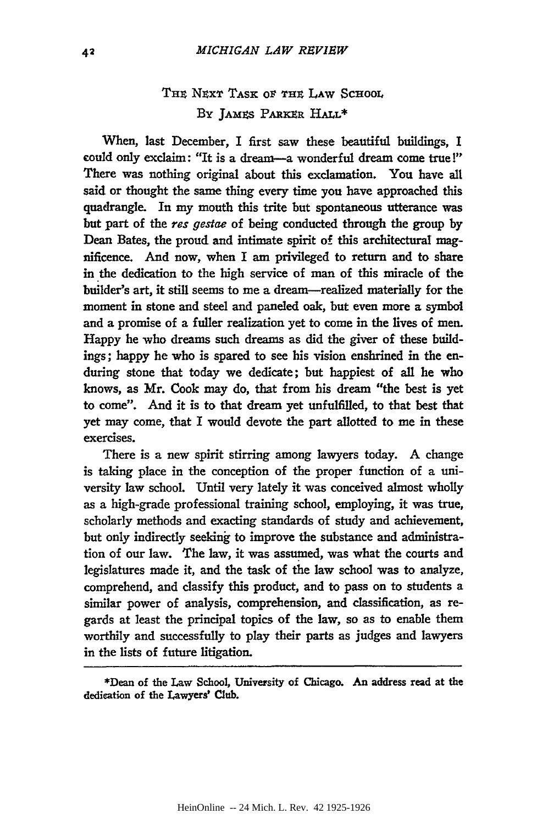## THE NEXT TASK OF THE LAW SCHOOL By JAMES PARKER HALL\*

When, last December, I first saw these beautiful buildings, I could only exclaim: "It is a dream-a wonderful dream come true **!"** There was nothing original about this exclamation. You have all said or thought the same thing every time you have approached this quadrangle. In my mouth this trite but spontaneous utterance was but part of the *res gestae* of being conducted through the group by Dean Bates, the proud and intimate spirit of this architectural magnificence. And now, when I am privileged to return and to share in the dedication to the high service of man of this miracle of the builder's art, it still seems to me a dream-realized materially for the moment in stone and steel and paneled oak, but even more a symbol and a promise of a fuller realization yet to come in the lives of men. Happy he who dreams such dreams as did the giver of these buildings; happy he who is spared to see his vision enshrined in the enduring stone that today we dedicate; but happiest of all he who knows, as Mr. Cook may do, that from his dream "the best is yet to come". And it is to that dream yet unfulfilled, to that best that yet may come, that I would devote the part allotted to me in these exercises.

There is a new spirit stirring among lawyers today. A change is taking place in the conception of the proper function of a university law school. Until very lately it was conceived almost wholly as a high-grade professional training school, employing, it was true, scholarly methods and exacting standards of study and achievement, but only indirectly seeking to improve the substance and administration of our law. The law, it was assumed, was what the courts and legislatures made it, and the task of the law school was to analyze, comprehend, and classify this product, and to pass on to students a similar power of analysis, comprehension, and classification, as regards at least the principal topics of the law, so as to enable them worthily and successfully to play their parts as judges and lawyers in the lists of future litigation.

**<sup>\*</sup>Dean** of **the Law** School, University of Chicago. An address read at the dedication of the Lawyers' Club.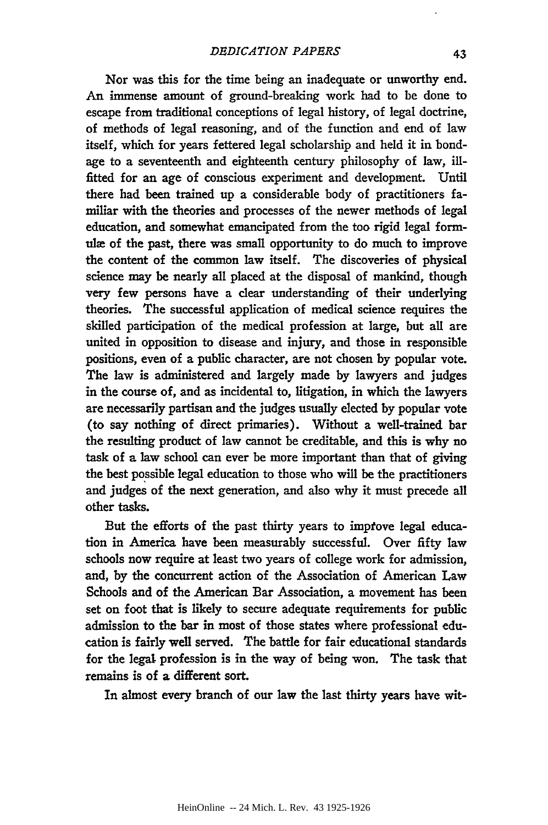Nor was this for the time being an inadequate or unworthy end. An immense amount of ground-breaking work had to be done to escape from traditional conceptions of legal history, of legal doctrine, of methods of legal reasoning, and of the function and end of law itself, which for years fettered legal scholarship and held it in bondage to a seventeenth and eighteenth century philosophy of law, illfitted for an age of conscious experiment and development. Until there had been trained up a considerable body of practitioners familiar with the theories and processes of the newer methods of legal education, and somewhat emancipated from the too rigid legal formulae of the past, there was small opportunity to do much to improve the content of the common law itself. The discoveries of physical science may be nearly **all** placed at the disposal of mankind, though very few persons have a clear understanding of their underlying theories. The successful application of medical science requires the skilled participation of the medical profession at large, but all are united in opposition to disease and injury, and those in responsible positions, even of a public character, are not chosen **by** popular vote. The law is administered and largely made **by** lawyers and judges in the course of, and as incidental to, litigation, in which the lawyers are necessarily partisan and the judges usually elected **by** popular vote (to say nothing of direct primaries). Without a well-trained bar the resulting product of law cannot be creditable, and this is why no task of a law school can ever be more important than that of giving the best possible legal education to those who will be the practitioners and judges of the next generation, and also why it must precede all other tasks.

But the efforts of the past thirty years to improve legal education in America have been measurably successful. Over fifty law schools now require at least two years of college work for admission, and, **by** the concurrent action of the Association of American Law Schools and of the American Bar Association, a movement has been set on foot that is likely to secure adequate requirements for public admission to the bar in most of those states where professional education is fairly well served. The battle for fair educational standards for the legal profession is in the way of being won. The task that remains is of a different sort.

In almost every branch of our law the last thirty years have wit-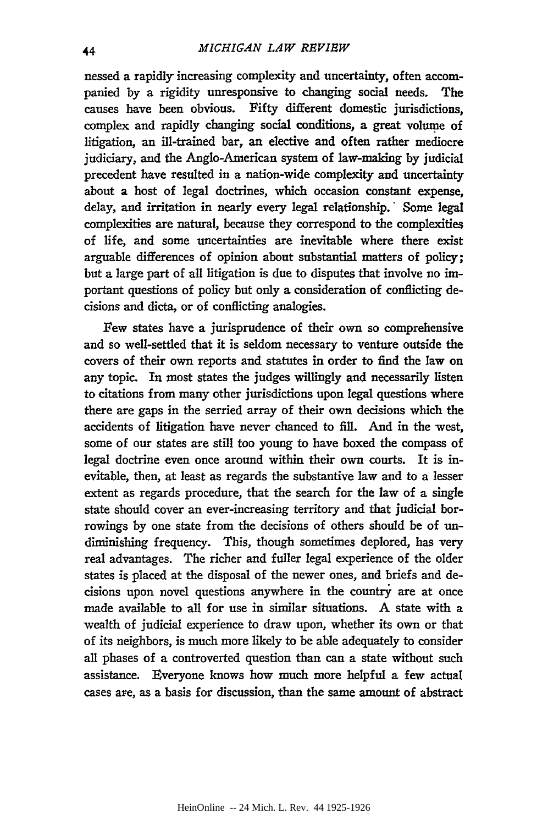nessed a rapidly increasing complexity and uncertainty, often accompanied **by** a rigidity unresponsive to changing social needs. The causes have been obvious. Fifty different domestic jurisdictions, complex and rapidly changing social conditions, a great volume of litigation, an ill-trained bar, an elective and often rather mediocre judiciary, and the Anglo-American **system** of law-making **by** judicial precedent have resulted in a nation-wide complexity and uncertainty about a host of legal doctrines, which occasion constant expense, delay, and irritation in nearly every legal relationship. Some legal complexities are natural, because they correspond to the complexities of life, and some uncertainties are inevitable where there exist arguable differences of opinion about substantial matters of policy; but a large part of all litigation is due to disputes that involve no important questions of policy but only a consideration of conflicting decisions and dicta, or of conflicting analogies.

Few states have a jurisprudence of their own so comprehensive and so well-settled that it is seldom necessary to venture outside the covers of their own reports and statutes in order to find the law on any topic. In most states the judges willingly and necessarily listen to citations from many other jurisdictions upon legal questions where there are gaps in the serried array of their own decisions which the accidents of litigation have never chanced to **fill.** And in the west, some of our states are still too young to have boxed the compass of legal doctrine even once around within their own courts. It is inevitable, then, at least as regards the substantive law and to a lesser extent as regards procedure, that the search for the law of a single state should cover an ever-increasing territory and that judicial borrowings **by** one state from the decisions of others should be of undiminishing frequency. This, though sometimes deplored, has very real advantages. The richer and fuller legal experience of the older states is placed at the disposal of the newer ones, and briefs and decisions upon novel questions anywhere in the country are at once made available to all for use in similar situations. **A** state with a wealth of judicial experience to draw upon, whether its own or that of its neighbors, is much more likely to be able adequately to consider all phases of a controverted question than can a state without such assistance. Everyone knows how much more helpful a few actual cases are, as a basis for discussion, than the same amount of abstract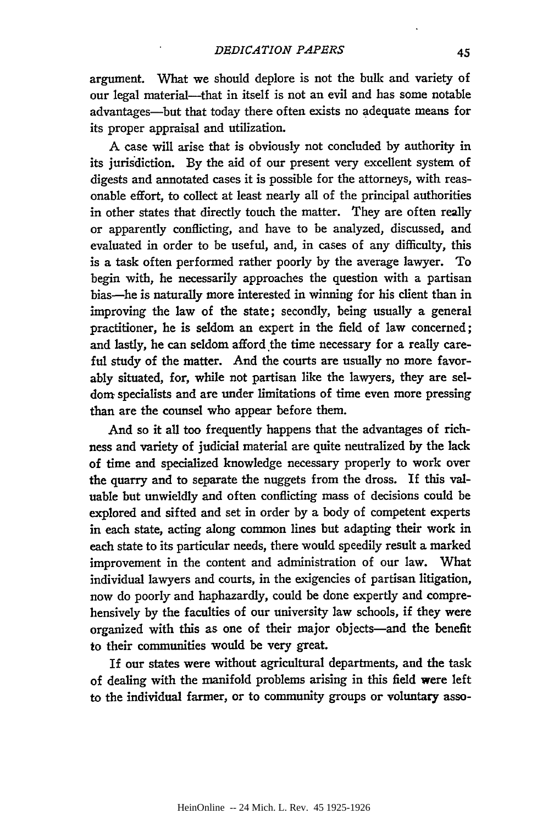argument. What we should deplore is not the bulk and variety of our legal material--that in itself is not an evil and has some notable advantages-but that today there often exists no adequate means for its proper appraisal and utilization.

A case will arise that is obviously not concluded by authority in its jurisdiction. By the aid of our present very excellent system of digests and annotated cases it is possible for the attorneys, with reasonable effort, to collect at least nearly all of the principal authorities in other states that directly touch the matter. They are often really or apparently conflicting, and have to be analyzed, discussed, and evaluated in order to be useful, and, in cases of any difficulty, this is a task often performed rather poorly by the average lawyer. To begin with, he necessarily approaches the question with a partisan bias-he is naturally more interested in winning for his client than in improving the law of the state; secondly, being usually a general practitioner, he is seldom an expert in the field of law concerned; and lastly, he can seldom afford the time necessary for a really careful study of the matter. And the courts are usually no more favorably situated, for, while not partisan like the lawyers, they are seldom specialists and are under limitations of time even more pressing than are the counsel who appear before them.

And so it all too frequently happens that the advantages of richness and variety of judicial material are quite neutralized by the lack of time and specialized knowledge necessary properly to work over the quarry and to separate the nuggets from the dross. If this valuable but unwieldly and often conflicting mass of decisions could be explored and sifted and set in order by a body of competent experts in each state, acting along common lines but adapting their work in each state to its particular needs, there would speedily result a marked improvement in the content and administration of our law. What individual lawyers and courts, in the exigencies of partisan litigation, now do poorly and haphazardly, could be done expertly and comprehensively by the faculties of our university law schools, if they were organized with this as one of their major objects-and the benefit to their communities would be very great.

If our states were without agricultural departments, and the task of dealing with the manifold problems arising in this field were left to the individual farmer, or to community groups or voluntary asso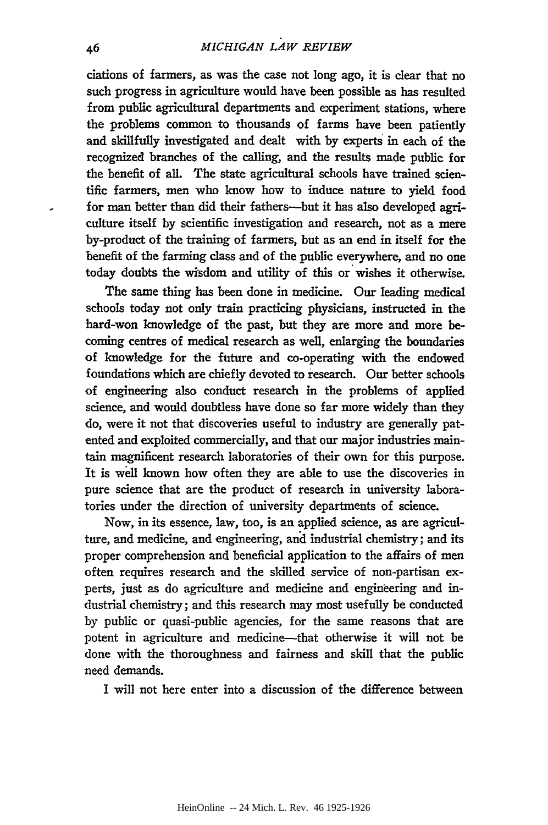ciations of farmers, as was the case not long ago, it is clear that no such progress in agriculture would have been possible as has resulted from public agricultural departments and experiment stations, where the problems common to thousands of farms have been patiently and skillfully investigated and dealt with by experts in each of the recognized branches of the calling, and the results made public for the benefit of all. The state agricultural schools have trained scientific farmers, men who know how to induce nature to yield food for man better than did their fathers---but it has also developed agriculture itself by scientific investigation and research, not as a mere by-product of the training of farmers, but as an end in itself for the benefit of the farming class and of the public everywhere, and no one today doubts the wisdom and utility of this or wishes it otherwise.

The same thing has been done in medicine. Our leading medical schools today not only train practicing physicians, instructed in the hard-won knowledge of the past, but they are more and more becoming centres of medical research as well, enlarging the boundaries of knowledge for the future and co-operating with the endowed foundations which are chiefly devoted to research. Our better schools of engineering also conduct research in the problems of applied science, and would doubtless have done so far more widely than they do, were it not that discoveries useful to industry are generally patented and exploited commercially, and that our major industries maintain magnificent research laboratories of their own for this purpose. It is well known how often they are able to use the discoveries in pure science that are the product of research in university laboratories under the direction of university departments of science.

Now, in its essence, law, too, is an applied science, as are agriculture, and medicine, and engineering, and industrial chemistry; and its proper comprehension and beneficial application to the affairs of men often requires research and the skilled service of non-partisan experts, just as do agriculture and medicine and engineering and industrial chemistry; and this research may most usefully be conducted by public or quasi-public agencies, for the same reasons that are potent in agriculture and medicine-that otherwise it will not be done with the thoroughness and fairness and skill that the public need demands.

I will not here enter into a discussion of the difference between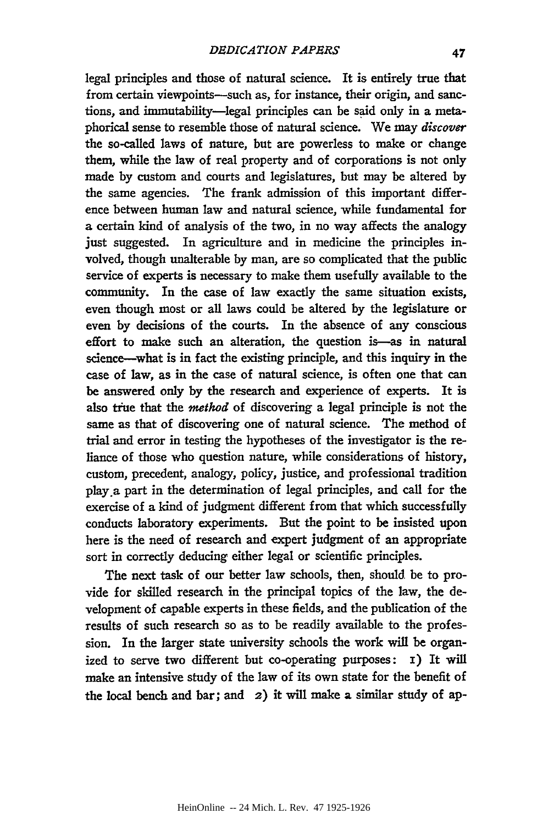legal principles and those of natural science. It is entirely true that from certain viewpoints-such as, for instance, their origin, and sanctions, and immutability-legal principles can be said only in a metaphorical sense to resemble those of natural science. We may *discover* the so-called laws of nature, but are powerless to make or change them, while the law of real property and of corporations is not only made **by** custom and courts and legislatures, but may be altered **by** the same agencies. The frank admission of this important difference between human law and natural science, while fundamental for a certain kind of analysis of the two, in no way affects the analogy just suggested. In agriculture and in medicine the principles involved, though unalterable **by** man, are so complicated that the public service of experts is necessary to make them usefully available to the community. In the case of law exactly the same situation exists, even though most or all laws could be altered **by** the legislature or even **by** decisions of the courts. In the absence of any conscious effort to make such an alteration, the question is-as in natural science-what is in fact the existing principle, and this inquiry in the case of law, as in the case of natural science, is often one that can be answered only **by** the research and experience of experts. It is also tiue that the *method* of discovering a legal principle is not the same as that of discovering one of natural science. The method of trial and error in testing the hypotheses of the investigator is the reliance of those who question nature, while considerations of history, custom, precedent, analogy, policy, justice, and professional tradition play.a part in the determination of legal principles, and call for the exercise of a kind of judgment different from that which successfully conducts laboratory experiments. But the point to be insisted upon here is the need of research and expert judgment of an appropriate sort in correctly deducing either legal or scientific principles.

The next task of our better law schools, then, should be to provide for skilled research in the principal topics of the law, the development of capable experts in these fields, and the publication of the results of such research so as to be readily available to the profession. In the larger state university schools the work will be organized to serve two different but co-operating purposes: **i)** It will make an intensive study of the law of its own state for the benefit of the local bench and bar; and **2)** it will make a similar study of ap-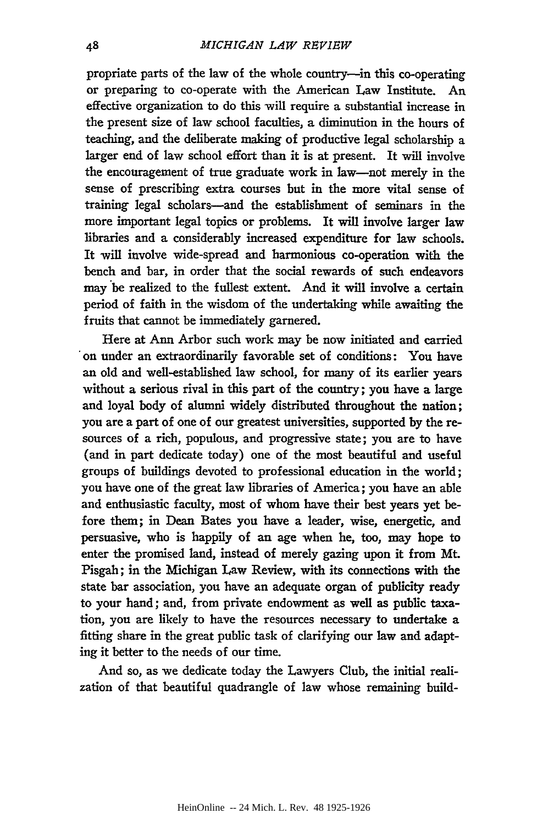propriate parts of the law of the whole country-in this co-operating or preparing to co-operate with the American Law Institute. An effective organization to do this will require a substantial increase in the present size of law school faculties, a diminution in the hours of teaching, and the deliberate making of productive legal scholarship a larger end of law school effort than it is at present. It will involve the encouragement of true graduate work in law-not merely in the sense of prescribing extra courses but in the more vital sense of training legal scholars-and the establishment of seminars in the more important legal topics or problems. It will involve larger law libraries and a considerably increased expenditure for law schools. It will involve wide-spread and harmonious co-operation with the bench and bar, in order that the social rewards of such endeavors may be realized to the fullest extent. And it will involve a certain period of faith in the wisdom of the undertaking while awaiting the fruits that cannot be immediately garnered.

Here at Ann Arbor such work may be now initiated and carried on under an extraordinarily favorable set of conditions: You have an old and well-established law school, for many of its earlier years without a serious rival in this part of the country; you have a large and loyal body of alumni widely distributed throughout the nation; you are a part of one of our greatest universities, supported **by** the resources of a rich, populous, and progressive state; you are to have (and in part dedicate today) one of the most beautiful and useful groups of buildings devoted to professional education in the world; you have one of the great law libraries of America; you have an able and enthusiastic faculty, most of whom have their best years yet before them; in Dean Bates you have a leader, wise, energetic, and persuasive, who is happily of an age when he, too, may hope to enter the promised land, instead of merely gazing upon it from Mt. Pisgah; in the Michigan Law Review, with its connections with the state bar association, you have an adequate organ of publicity ready to your hand; and, from private endowment as well as public taxation, you are likely to have the resources necessary to undertake a fitting share in the great public task of clarifying our law and adapting it better to the needs of our time.

And so, as we dedicate today the Lawyers Club, the initial realization of that beautiful quadrangle of law whose remaining build-